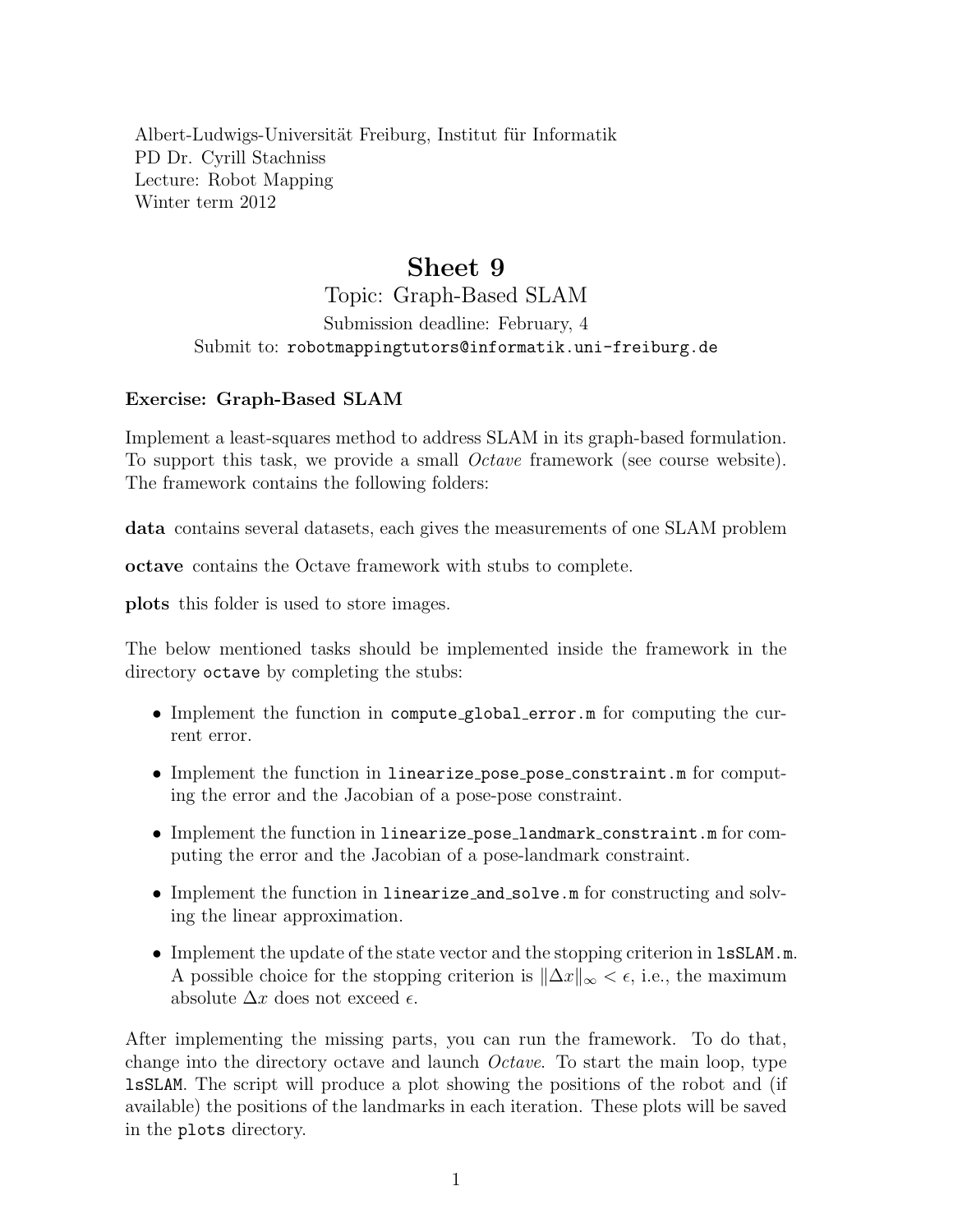Albert-Ludwigs-Universität Freiburg, Institut für Informatik PD Dr. Cyrill Stachniss Lecture: Robot Mapping Winter term 2012

## Sheet 9

Topic: Graph-Based SLAM Submission deadline: February, 4 Submit to: robotmappingtutors@informatik.uni-freiburg.de

## Exercise: Graph-Based SLAM

Implement a least-squares method to address SLAM in its graph-based formulation. To support this task, we provide a small Octave framework (see course website). The framework contains the following folders:

data contains several datasets, each gives the measurements of one SLAM problem

octave contains the Octave framework with stubs to complete.

plots this folder is used to store images.

The below mentioned tasks should be implemented inside the framework in the directory octave by completing the stubs:

- Implement the function in compute global error.m for computing the current error.
- Implement the function in linearize\_pose\_pose\_constraint.m for computing the error and the Jacobian of a pose-pose constraint.
- Implement the function in linearize pose landmark constraint.m for computing the error and the Jacobian of a pose-landmark constraint.
- Implement the function in linearize\_and\_solve.m for constructing and solving the linear approximation.
- Implement the update of the state vector and the stopping criterion in **1sSLAM.m.** A possible choice for the stopping criterion is  $\|\Delta x\|_{\infty} < \epsilon$ , i.e., the maximum absolute  $\Delta x$  does not exceed  $\epsilon$ .

After implementing the missing parts, you can run the framework. To do that, change into the directory octave and launch Octave. To start the main loop, type lsSLAM. The script will produce a plot showing the positions of the robot and (if available) the positions of the landmarks in each iteration. These plots will be saved in the plots directory.